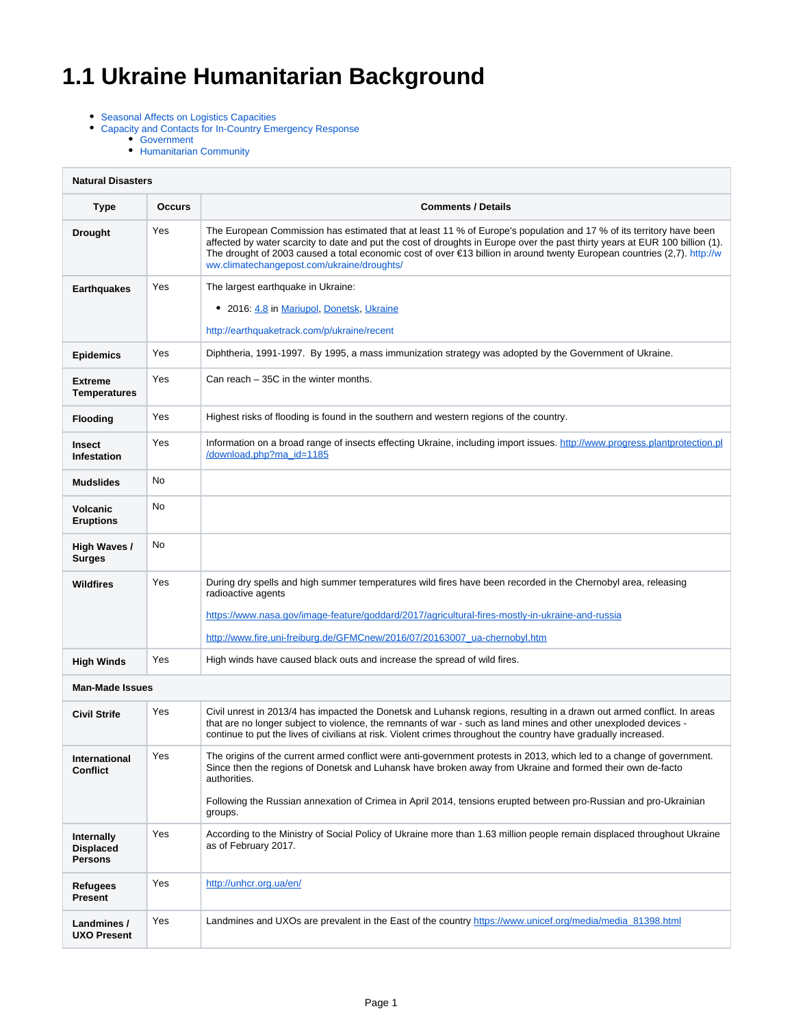# **1.1 Ukraine Humanitarian Background**

- [Seasonal Affects on Logistics Capacities](#page-1-0)
- [Capacity and Contacts for In-Country Emergency Response](#page-1-1)
	- **[Government](#page-1-2)** 
		- [Humanitarian Community](#page-1-3)

| <b>Natural Disasters</b>                                |               |                                                                                                                                                                                                                                                                                                                                                                                                                                         |  |  |  |
|---------------------------------------------------------|---------------|-----------------------------------------------------------------------------------------------------------------------------------------------------------------------------------------------------------------------------------------------------------------------------------------------------------------------------------------------------------------------------------------------------------------------------------------|--|--|--|
| Type                                                    | <b>Occurs</b> | <b>Comments / Details</b>                                                                                                                                                                                                                                                                                                                                                                                                               |  |  |  |
| <b>Drought</b>                                          | Yes           | The European Commission has estimated that at least 11 % of Europe's population and 17 % of its territory have been<br>affected by water scarcity to date and put the cost of droughts in Europe over the past thirty years at EUR 100 billion (1).<br>The drought of 2003 caused a total economic cost of over $\epsilon$ 13 billion in around twenty European countries (2,7). http://w<br>ww.climatechangepost.com/ukraine/droughts/ |  |  |  |
| <b>Earthquakes</b>                                      | Yes           | The largest earthquake in Ukraine:<br>• 2016: 4.8 in Mariupol, Donetsk, Ukraine<br>http://earthquaketrack.com/p/ukraine/recent                                                                                                                                                                                                                                                                                                          |  |  |  |
| <b>Epidemics</b>                                        | Yes           | Diphtheria, 1991-1997. By 1995, a mass immunization strategy was adopted by the Government of Ukraine.                                                                                                                                                                                                                                                                                                                                  |  |  |  |
| <b>Extreme</b><br><b>Temperatures</b>                   | Yes           | Can reach – 35C in the winter months.                                                                                                                                                                                                                                                                                                                                                                                                   |  |  |  |
| <b>Flooding</b>                                         | Yes           | Highest risks of flooding is found in the southern and western regions of the country.                                                                                                                                                                                                                                                                                                                                                  |  |  |  |
| <b>Insect</b><br>Infestation                            | Yes           | Information on a broad range of insects effecting Ukraine, including import issues. http://www.progress.plantprotection.pl<br>/download.php?ma_id=1185                                                                                                                                                                                                                                                                                  |  |  |  |
| <b>Mudslides</b>                                        | No            |                                                                                                                                                                                                                                                                                                                                                                                                                                         |  |  |  |
| Volcanic<br><b>Eruptions</b>                            | No            |                                                                                                                                                                                                                                                                                                                                                                                                                                         |  |  |  |
| High Waves /<br><b>Surges</b>                           | No            |                                                                                                                                                                                                                                                                                                                                                                                                                                         |  |  |  |
| Wildfires                                               | Yes           | During dry spells and high summer temperatures wild fires have been recorded in the Chernobyl area, releasing<br>radioactive agents<br>https://www.nasa.gov/image-feature/goddard/2017/agricultural-fires-mostly-in-ukraine-and-russia<br>http://www.fire.uni-freiburg.de/GFMCnew/2016/07/20163007_ua-chernobyl.htm                                                                                                                     |  |  |  |
| <b>High Winds</b>                                       | Yes           | High winds have caused black outs and increase the spread of wild fires.                                                                                                                                                                                                                                                                                                                                                                |  |  |  |
| <b>Man-Made Issues</b>                                  |               |                                                                                                                                                                                                                                                                                                                                                                                                                                         |  |  |  |
| <b>Civil Strife</b>                                     | Yes           | Civil unrest in 2013/4 has impacted the Donetsk and Luhansk regions, resulting in a drawn out armed conflict. In areas<br>that are no longer subject to violence, the remnants of war - such as land mines and other unexploded devices -<br>continue to put the lives of civilians at risk. Violent crimes throughout the country have gradually increased.                                                                            |  |  |  |
| International<br><b>Conflict</b>                        | Yes           | The origins of the current armed conflict were anti-government protests in 2013, which led to a change of government.<br>Since then the regions of Donetsk and Luhansk have broken away from Ukraine and formed their own de-facto<br>authorities.<br>Following the Russian annexation of Crimea in April 2014, tensions erupted between pro-Russian and pro-Ukrainian<br>groups.                                                       |  |  |  |
| <b>Internally</b><br><b>Displaced</b><br><b>Persons</b> | Yes           | According to the Ministry of Social Policy of Ukraine more than 1.63 million people remain displaced throughout Ukraine<br>as of February 2017.                                                                                                                                                                                                                                                                                         |  |  |  |
| Refugees<br>Present                                     | Yes           | http://unhcr.org.ua/en/                                                                                                                                                                                                                                                                                                                                                                                                                 |  |  |  |
| Landmines /<br><b>UXO Present</b>                       | Yes           | Landmines and UXOs are prevalent in the East of the country https://www.unicef.org/media/media 81398.html                                                                                                                                                                                                                                                                                                                               |  |  |  |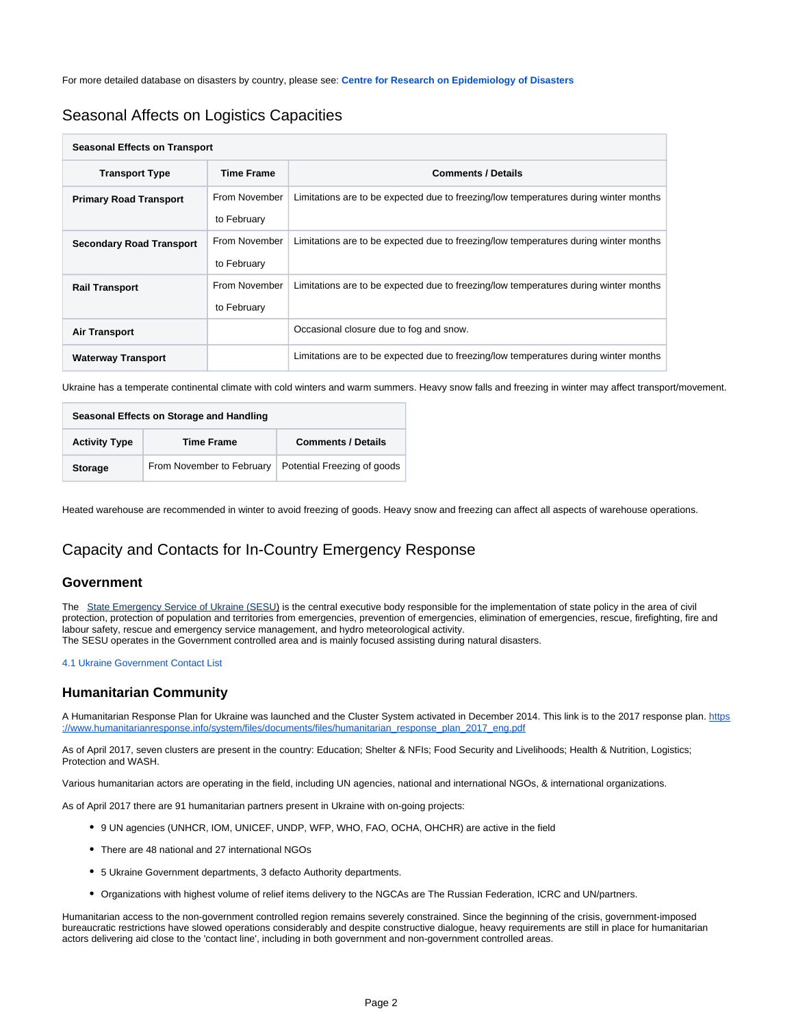For more detailed database on disasters by country, please see: **[Centre for Research on Epidemiology of Disasters](http://www.emdat.be/country-profile)**

## <span id="page-1-0"></span>Seasonal Affects on Logistics Capacities

| <b>Seasonal Effects on Transport</b> |                   |                                                                                      |  |  |  |
|--------------------------------------|-------------------|--------------------------------------------------------------------------------------|--|--|--|
| <b>Transport Type</b>                | <b>Time Frame</b> | <b>Comments / Details</b>                                                            |  |  |  |
| <b>Primary Road Transport</b>        | From November     | Limitations are to be expected due to freezing/low temperatures during winter months |  |  |  |
|                                      | to February       |                                                                                      |  |  |  |
| <b>Secondary Road Transport</b>      | From November     | Limitations are to be expected due to freezing/low temperatures during winter months |  |  |  |
|                                      | to February       |                                                                                      |  |  |  |
| <b>Rail Transport</b>                | From November     | Limitations are to be expected due to freezing/low temperatures during winter months |  |  |  |
|                                      | to February       |                                                                                      |  |  |  |
| <b>Air Transport</b>                 |                   | Occasional closure due to fog and snow.                                              |  |  |  |
| <b>Waterway Transport</b>            |                   | Limitations are to be expected due to freezing/low temperatures during winter months |  |  |  |

Ukraine has a temperate continental climate with cold winters and warm summers. Heavy snow falls and freezing in winter may affect transport/movement.

| Seasonal Effects on Storage and Handling |                           |                             |  |  |  |
|------------------------------------------|---------------------------|-----------------------------|--|--|--|
| <b>Activity Type</b>                     | <b>Time Frame</b>         | <b>Comments / Details</b>   |  |  |  |
| <b>Storage</b>                           | From November to February | Potential Freezing of goods |  |  |  |

Heated warehouse are recommended in winter to avoid freezing of goods. Heavy snow and freezing can affect all aspects of warehouse operations.

## <span id="page-1-1"></span>Capacity and Contacts for In-Country Emergency Response

#### <span id="page-1-2"></span>**Government**

The[State Emergency Service of Ukraine \(SESU\)](http://en.mns.gov.ua/) is the central executive body responsible for the implementation of state policy in the area of civil [protection, protection of population and territories from emergencies, prevention of emergencies, elimination of emergencies, rescue, firefighting, fire and](http://www.dsns.gov.ua/en/)  [labour safety, rescue and emergency service management, and hydro meteorological activity.](http://www.dsns.gov.ua/en/)  [The SESU operates in the Government controlled area and is mainly focused assisting during natural disasters.](http://www.dsns.gov.ua/en/)

#### [4.1 Ukraine Government Contact List](https://dlca.logcluster.org/display/DLCA/4.1+Ukraine+Government+Contact+List)

### <span id="page-1-3"></span>**Humanitarian Community**

A Humanitarian Response Plan for Ukraine was launched and the Cluster System activated in December 2014. This link is to the 2017 response plan. [https](https://www.humanitarianresponse.info/system/files/documents/files/humanitarian_response_plan_2017_eng.pdf) [://www.humanitarianresponse.info/system/files/documents/files/humanitarian\\_response\\_plan\\_2017\\_eng.pdf](https://www.humanitarianresponse.info/system/files/documents/files/humanitarian_response_plan_2017_eng.pdf)

As of April 2017, seven clusters are present in the country: Education; Shelter & NFIs; Food Security and Livelihoods; Health & Nutrition, Logistics; Protection and WASH.

Various humanitarian actors are operating in the field, including UN agencies, national and international NGOs, & international organizations.

As of April 2017 there are 91 humanitarian partners present in Ukraine with on-going projects:

- 9 UN agencies (UNHCR, IOM, UNICEF, UNDP, WFP, WHO, FAO, OCHA, OHCHR) are active in the field
- There are 48 national and 27 international NGOs
- 5 Ukraine Government departments, 3 defacto Authority departments.
- Organizations with highest volume of relief items delivery to the NGCAs are The Russian Federation, ICRC and UN/partners.

Humanitarian access to the non-government controlled region remains severely constrained. Since the beginning of the crisis, government-imposed bureaucratic restrictions have slowed operations considerably and despite constructive dialogue, heavy requirements are still in place for humanitarian actors delivering aid close to the 'contact line', including in both government and non-government controlled areas.